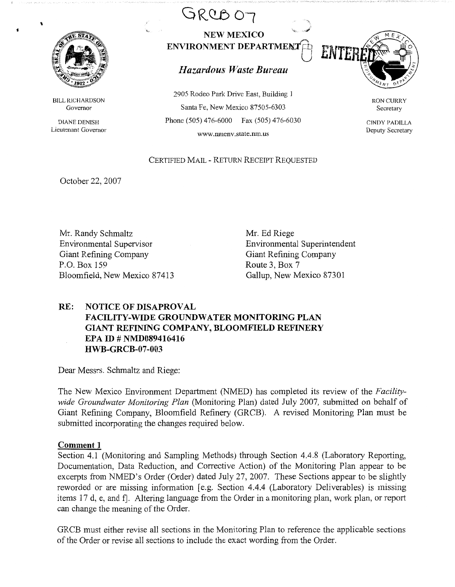

\

BILL RICHARDSON Governor

DIANE DENISH Lieutenant Governor



# $Hazardous$  *Waste Bureau*

2905 Rodeo Park Drive East, Building 1 Santa Fe, New Mexico 87505-6303 Phone (505) 476-6000 Fax (505) 476-6030 www,nmenv.state.nm.us



RON CURRY Secretary

CINDY PADILLA Deputy Secretary

## CERTIFIED MAIL - RETURN RECEIPT REQUESTED

October 22, 2007

Mr. Randy Schmaltz Environmental Supervisor Giant Refining Company P.O. Box 159 Bloomfield, New Mexico 87413

Mr. Ed Riege Environmental Superintendent Giant Refining Company Route 3, Box 7 Gallup, New Mexico 87301

## **RE: NOTICE OF DISAPROVAL FACILITY-WIDE GROUNDWATER MONITORING PLAN GIANT REFINING COMPANY, BLOOMFIELD REFINERY EPA ID# NMD089416416 HWB-GRCB-07-003**

Dear Messrs. Schmaltz and Riege:

The New Mexico Environment Department (NMED) has completed its review of the *Facilitywide Groundwater Monitoring Plan* (Monitoring Plan) dated July 2007, submitted on behalf of Giant Refining Company, Bloomfield Refinery (GRCB). A revised Monitoring Plan must be submitted incorporating the changes required below.

#### **Comment 1**

Section 4.1 (Monitoring and Sampling Methods) through Section 4.4.8 (Laboratory Reporting, Documentation, Data Reduction, and Corrective Action) of the Monitoring Plan appear to be excerpts from NMED's Order (Order) dated July 27, 2007. These Sections appear to be slightly reworded or are missing information [e.g. Section 4.4.4 (Laboratory Deliverables) is missing items 17 d, e, and f. Altering language from the Order in a monitoring plan, work plan, or report can change the meaning of the Order.

GRCB must either revise all sections in the Monitoring Plan to reference the applicable sections of the Order or revise all sections to include the exact wording from the Order.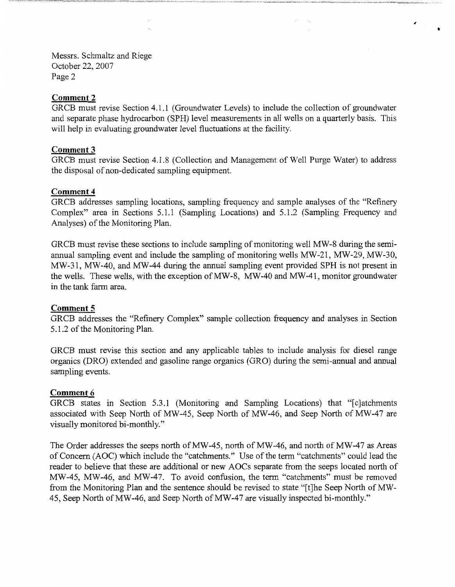Messrs. Schmaltz and Riege October 22, 2007 Page 2

## **Comment2**

GRCB must revise Section 4.1.1 (Groundwater Levels) to include the collection of groundwater and separate phase hydrocarbon (SPH) level measurements in all wells on a quarterly basis. This will help in evaluating groundwater level fluctuations at the facility.

**V** 

,

## **Comment3**

GRCB must revise Section 4.1.8 (Collection and Management of Well Purge Water) to address the disposal of non-dedicated sampling equipment.

## **Comment4**

GRCB addresses sampling locations, sampling frequency and sample analyses of the "Refinery Complex" area in Sections 5.1.1 (Sampling Locations) and 5.1.2 (Sampling Frequency and Analyses) of the Monitoring Plan.

GRCB must revise these sections to include sampling of monitoring well MW-8 during the semiannual sampling event and include the sampling of monitoring wells MW-21, MW-29, MW-30, MW-31, MW-40, and MW-44 during the annual sampling event provided SPH is not present in the wells. These wells, with the exception of MW-8, MW-40 and MW-41, monitor groundwater in the tank farm area.

## **Comment 5**

GRCB addresses the "Refinery Complex" sample collection frequency and analyses in Section 5.1.2 of the Monitoring Plan.

GRCB must revise this section and any applicable tables to include analysis for diesel range organics (DRO) extended and gasoline range organics (GRO) during the semi-annual and annual sampling events.

#### **Comment 6**

GRCB states in Section 5.3.1 (Monitoring and Sampling Locations) that "[c]atchments associated with Seep North of MW-45, Seep North of MW-46, and Seep North of MW-47 are visually monitored bi-monthly."

The Order addresses the seeps north of MW-45, north of MW-46, and north of MW-47 as Areas of Concern (AOC) which include the "catchments." Use of the term "catchments" could lead the reader to believe that these are additional or new AOCs separate from the seeps located north of MW-45, MW-46, and MW-47. To avoid confusion, the term "catchments" must be removed from the Monitoring Plan and the sentence should be revised to state "[t]he Seep North of MW-45, Seep North of MW-46, and Seep North of MW-47 are visually inspected bi-monthly."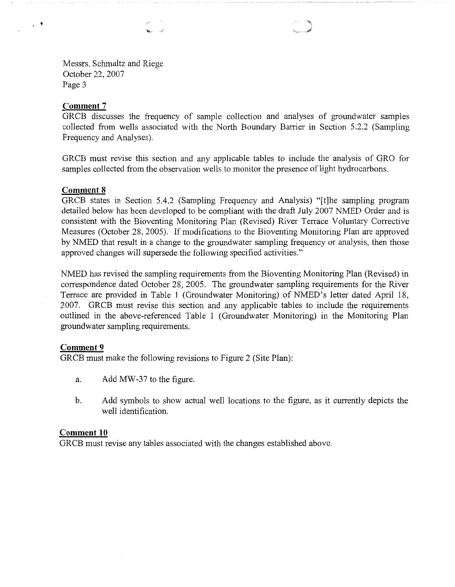#### **Comment 7**

 $\mathcal{C}^{\bullet}$ 

GRCB discusses the frequency of sample collection and analyses of groundwater samples collected from wells associated with the North Boundary Barrier in Section 5.2.2 (Sampling Frequency and Analyses).

GRCB must revise this section and any applicable tables to include the analysis of GRO for samples collected from the observation wells to monitor the presence of light hydrocarbons.

#### **Comment 8**

GRCB states in Section 5.4.2 (Sampling Frequency and Analysis) "[t]he sampling program detailed below has been developed to be compliant with the draft July 2007 NMED Order and is consistent with the Bioventing Monitoring Plan (Revised) River Terrace Voluntary Corrective Measures (October 28, 2005). If modifications to the Bioventing Monitoring Plan are approved by NMED that result in a change to the groundwater sampling frequency or analysis, then those approved changes will supersede the following specified activities."

NMED has revised the sampling requirements from the Bioventing Monitoring Plan (Revised) in correspondence dated October 28, 2005. The groundwater sampling requirements for the River Terrace are provided in Table 1 (Groundwater Monitoring) of NMED's letter dated April 18, 2007. GRCB must revise this section and any applicable tables to include the requirements outlined in the above-referenced Table 1 (Groundwater Monitoring) in the Monitoring Plan groundwater sampling requirements.

#### **Comment 9**

GRCB must make the following revisions to Figure 2 (Site Plan):

- a. Add MW-37 to the figure.
- b. Add symbols to show actual well locations to the figure, as it currently depicts the well identification.

#### **Comment 10**

GRCB must revise any tables associated with the changes established above.